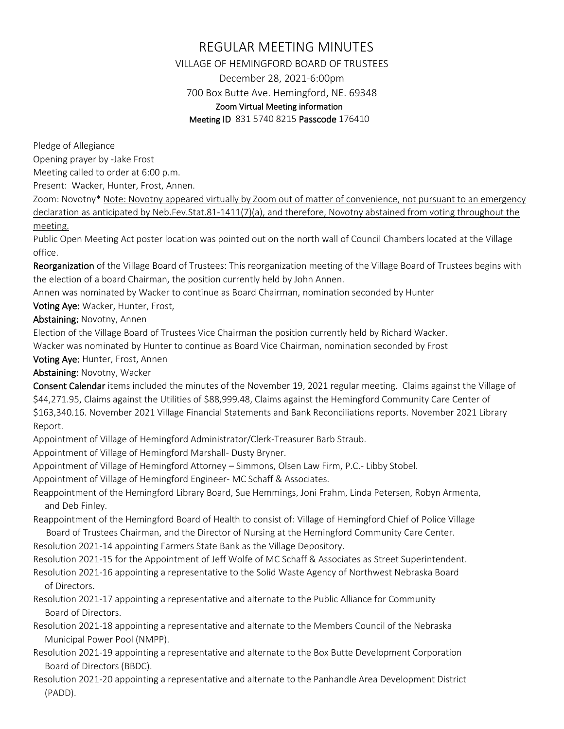## REGULAR MEETING MINUTES

VILLAGE OF HEMINGFORD BOARD OF TRUSTEES December 28, 2021-6:00pm 700 Box Butte Ave. Hemingford, NE. 69348 Zoom Virtual Meeting information

Meeting ID 831 5740 8215 Passcode 176410

Pledge of Allegiance

Opening prayer by -Jake Frost

Meeting called to order at 6:00 p.m.

Present: Wacker, Hunter, Frost, Annen.

Zoom: Novotny\* Note: Novotny appeared virtually by Zoom out of matter of convenience, not pursuant to an emergency declaration as anticipated by Neb.Fev.Stat.81-1411(7)(a), and therefore, Novotny abstained from voting throughout the meeting.

Public Open Meeting Act poster location was pointed out on the north wall of Council Chambers located at the Village office.

Reorganization of the Village Board of Trustees: This reorganization meeting of the Village Board of Trustees begins with the election of a board Chairman, the position currently held by John Annen.

Annen was nominated by Wacker to continue as Board Chairman, nomination seconded by Hunter

Voting Aye: Wacker, Hunter, Frost,

Abstaining: Novotny, Annen

Election of the Village Board of Trustees Vice Chairman the position currently held by Richard Wacker.

Wacker was nominated by Hunter to continue as Board Vice Chairman, nomination seconded by Frost

Voting Aye: Hunter, Frost, Annen

Abstaining: Novotny, Wacker

Consent Calendar items included the minutes of the November 19, 2021 regular meeting. Claims against the Village of \$44,271.95, Claims against the Utilities of \$88,999.48, Claims against the Hemingford Community Care Center of \$163,340.16. November 2021 Village Financial Statements and Bank Reconciliations reports. November 2021 Library Report.

Appointment of Village of Hemingford Administrator/Clerk-Treasurer Barb Straub.

Appointment of Village of Hemingford Marshall- Dusty Bryner.

Appointment of Village of Hemingford Attorney – Simmons, Olsen Law Firm, P.C.- Libby Stobel.

Appointment of Village of Hemingford Engineer- MC Schaff & Associates.

Reappointment of the Hemingford Library Board, Sue Hemmings, Joni Frahm, Linda Petersen, Robyn Armenta, and Deb Finley.

Reappointment of the Hemingford Board of Health to consist of: Village of Hemingford Chief of Police Village Board of Trustees Chairman, and the Director of Nursing at the Hemingford Community Care Center.

Resolution 2021-14 appointing Farmers State Bank as the Village Depository.

Resolution 2021-15 for the Appointment of Jeff Wolfe of MC Schaff & Associates as Street Superintendent.

Resolution 2021-16 appointing a representative to the Solid Waste Agency of Northwest Nebraska Board of Directors.

Resolution 2021-17 appointing a representative and alternate to the Public Alliance for Community Board of Directors.

Resolution 2021-18 appointing a representative and alternate to the Members Council of the Nebraska Municipal Power Pool (NMPP).

Resolution 2021-19 appointing a representative and alternate to the Box Butte Development Corporation Board of Directors (BBDC).

Resolution 2021-20 appointing a representative and alternate to the Panhandle Area Development District (PADD).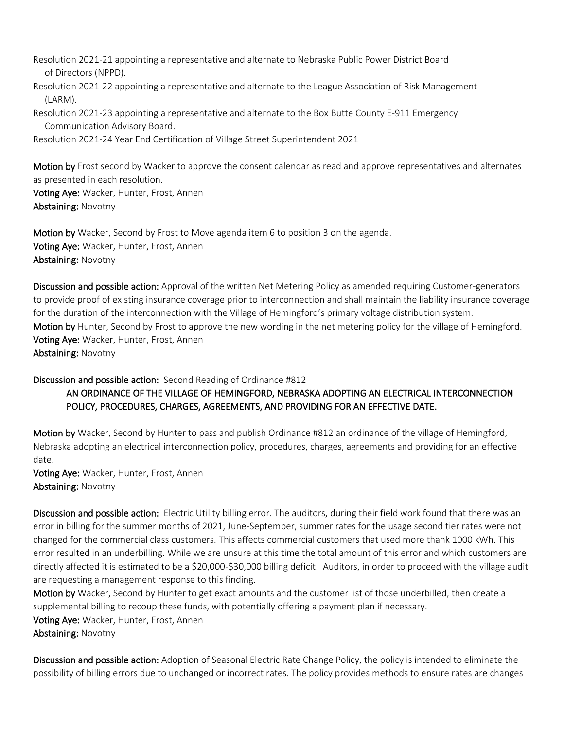Resolution 2021-21 appointing a representative and alternate to Nebraska Public Power District Board of Directors (NPPD).

Resolution 2021-22 appointing a representative and alternate to the League Association of Risk Management (LARM).

Resolution 2021-23 appointing a representative and alternate to the Box Butte County E-911 Emergency Communication Advisory Board.

Resolution 2021-24 Year End Certification of Village Street Superintendent 2021

Motion by Frost second by Wacker to approve the consent calendar as read and approve representatives and alternates as presented in each resolution. Voting Aye: Wacker, Hunter, Frost, Annen Abstaining: Novotny

Motion by Wacker, Second by Frost to Move agenda item 6 to position 3 on the agenda. Voting Aye: Wacker, Hunter, Frost, Annen Abstaining: Novotny

Discussion and possible action: Approval of the written Net Metering Policy as amended requiring Customer-generators to provide proof of existing insurance coverage prior to interconnection and shall maintain the liability insurance coverage for the duration of the interconnection with the Village of Hemingford's primary voltage distribution system. Motion by Hunter, Second by Frost to approve the new wording in the net metering policy for the village of Hemingford. Voting Aye: Wacker, Hunter, Frost, Annen Abstaining: Novotny

Discussion and possible action: Second Reading of Ordinance #812

## AN ORDINANCE OF THE VILLAGE OF HEMINGFORD, NEBRASKA ADOPTING AN ELECTRICAL INTERCONNECTION POLICY, PROCEDURES, CHARGES, AGREEMENTS, AND PROVIDING FOR AN EFFECTIVE DATE.

Motion by Wacker, Second by Hunter to pass and publish Ordinance #812 an ordinance of the village of Hemingford, Nebraska adopting an electrical interconnection policy, procedures, charges, agreements and providing for an effective date.

Voting Aye: Wacker, Hunter, Frost, Annen Abstaining: Novotny

Discussion and possible action: Electric Utility billing error. The auditors, during their field work found that there was an error in billing for the summer months of 2021, June-September, summer rates for the usage second tier rates were not changed for the commercial class customers. This affects commercial customers that used more thank 1000 kWh. This error resulted in an underbilling. While we are unsure at this time the total amount of this error and which customers are directly affected it is estimated to be a \$20,000-\$30,000 billing deficit. Auditors, in order to proceed with the village audit are requesting a management response to this finding.

Motion by Wacker, Second by Hunter to get exact amounts and the customer list of those underbilled, then create a supplemental billing to recoup these funds, with potentially offering a payment plan if necessary.

Voting Aye: Wacker, Hunter, Frost, Annen Abstaining: Novotny

Discussion and possible action: Adoption of Seasonal Electric Rate Change Policy, the policy is intended to eliminate the possibility of billing errors due to unchanged or incorrect rates. The policy provides methods to ensure rates are changes